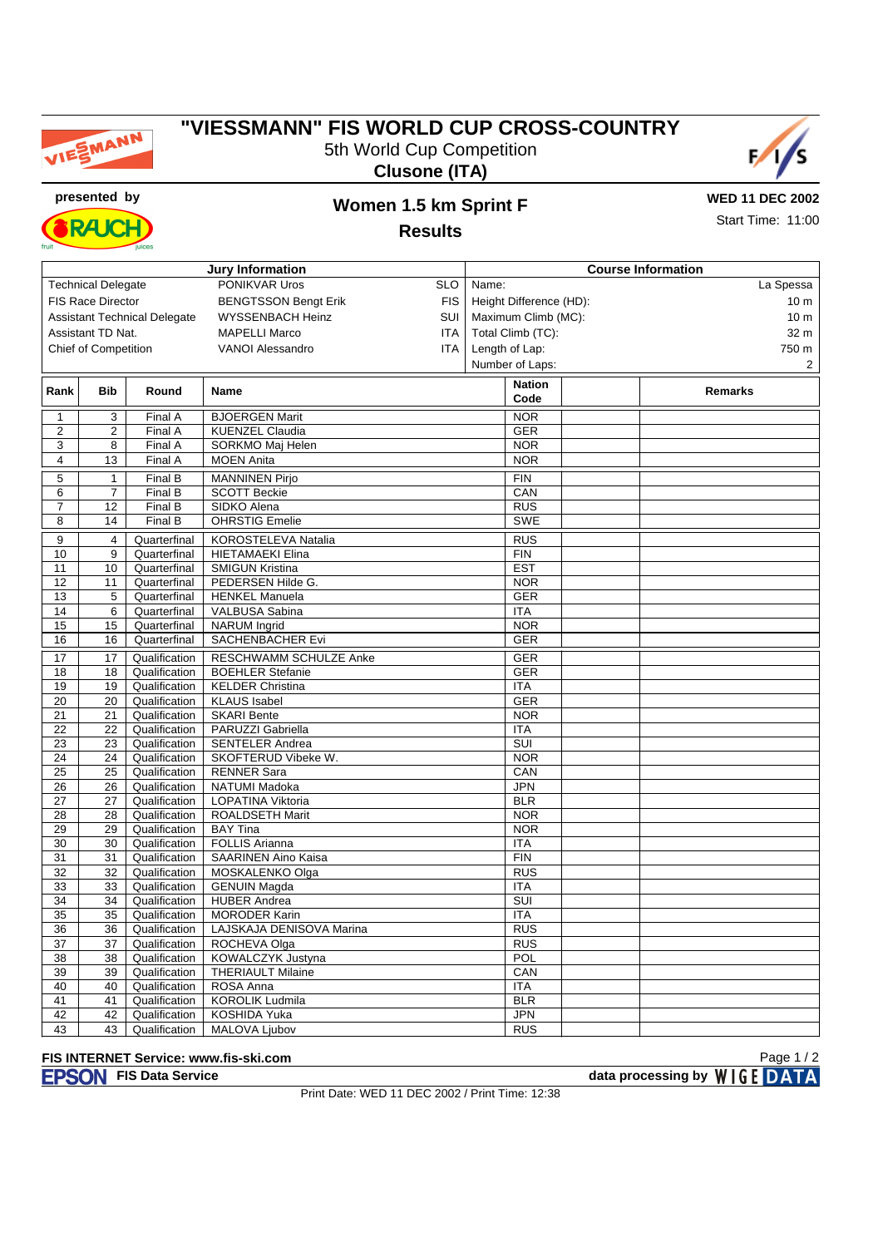

## **"VIESSMANN" FIS WORLD CUP CROSS-COUNTRY** 5th World Cup Competition





Start Time: 11:00

**presented by Women 1.5 km Sprint F RAJC** 

## **Results**

| <b>Jury Information</b>                                 |                             |               |                          |     | <b>Course Information</b> |                                    |  |
|---------------------------------------------------------|-----------------------------|---------------|--------------------------|-----|---------------------------|------------------------------------|--|
| PONIKVAR Uros<br><b>Technical Delegate</b>              |                             |               |                          |     | Name:<br>La Spessa        |                                    |  |
| <b>FIS Race Director</b><br><b>BENGTSSON Bengt Erik</b> |                             |               |                          |     | Height Difference (HD):   |                                    |  |
|                                                         |                             |               |                          |     | Maximum Climb (MC):       | 10 <sub>m</sub><br>10 <sub>m</sub> |  |
| <b>Assistant Technical Delegate</b><br>WYSSENBACH Heinz |                             |               |                          |     |                           |                                    |  |
| <b>MAPELLI Marco</b><br>Assistant TD Nat.               |                             |               |                          |     | Total Climb (TC):         | 32 m                               |  |
|                                                         | <b>Chief of Competition</b> |               | <b>VANOI Alessandro</b>  | ITA | Length of Lap:            | 750 m                              |  |
|                                                         |                             |               |                          |     | Number of Laps:           | $\overline{2}$                     |  |
| Rank                                                    | Bib                         | Round         | Name                     |     | <b>Nation</b>             | Remarks                            |  |
|                                                         |                             |               |                          |     | Code                      |                                    |  |
| 1                                                       | 3                           | Final A       | <b>BJOERGEN Marit</b>    |     | <b>NOR</b>                |                                    |  |
| $\sqrt{2}$                                              | $\overline{c}$              | Final A       | <b>KUENZEL Claudia</b>   |     | <b>GER</b>                |                                    |  |
| 3                                                       | 8                           | Final A       | SORKMO Maj Helen         |     | <b>NOR</b>                |                                    |  |
| 4                                                       | 13                          | Final A       | <b>MOEN Anita</b>        |     | <b>NOR</b>                |                                    |  |
| 5                                                       | $\mathbf 1$                 | Final B       | <b>MANNINEN Pirjo</b>    |     | <b>FIN</b>                |                                    |  |
| 6                                                       | $\overline{7}$              | Final B       | <b>SCOTT Beckie</b>      |     | CAN                       |                                    |  |
| $\overline{7}$                                          | 12                          | Final B       | SIDKO Alena              |     | <b>RUS</b>                |                                    |  |
| 8                                                       | 14                          | Final B       | <b>OHRSTIG Emelie</b>    |     | <b>SWE</b>                |                                    |  |
|                                                         |                             |               |                          |     |                           |                                    |  |
| 9                                                       | 4                           | Quarterfinal  | KOROSTELEVA Natalia      |     | <b>RUS</b>                |                                    |  |
| 10                                                      | 9                           | Quarterfinal  | <b>HIETAMAEKI Elina</b>  |     | <b>FIN</b>                |                                    |  |
| 11                                                      | 10                          | Quarterfinal  | <b>SMIGUN Kristina</b>   |     | <b>EST</b>                |                                    |  |
| 12                                                      | 11                          | Quarterfinal  | PEDERSEN Hilde G.        |     | <b>NOR</b>                |                                    |  |
| 13                                                      | 5                           | Quarterfinal  | <b>HENKEL Manuela</b>    |     | <b>GER</b>                |                                    |  |
| 14                                                      | 6                           | Quarterfinal  | VALBUSA Sabina           |     | <b>ITA</b>                |                                    |  |
| 15                                                      | 15                          | Quarterfinal  | <b>NARUM</b> Ingrid      |     | <b>NOR</b>                |                                    |  |
| 16                                                      | 16                          | Quarterfinal  | SACHENBACHER Evi         |     | <b>GER</b>                |                                    |  |
| 17                                                      | 17                          | Qualification | RESCHWAMM SCHULZE Anke   |     | GER                       |                                    |  |
| 18                                                      | 18                          | Qualification | <b>BOEHLER Stefanie</b>  |     | <b>GER</b>                |                                    |  |
| 19                                                      | 19                          | Qualification | <b>KELDER Christina</b>  |     | <b>ITA</b>                |                                    |  |
| 20                                                      | 20                          | Qualification | <b>KLAUS</b> Isabel      |     | <b>GER</b>                |                                    |  |
| 21                                                      | 21                          | Qualification | <b>SKARI Bente</b>       |     | <b>NOR</b>                |                                    |  |
| 22                                                      | 22                          | Qualification | PARUZZI Gabriella        |     | <b>ITA</b>                |                                    |  |
| 23                                                      | 23                          | Qualification | <b>SENTELER Andrea</b>   |     | SUI                       |                                    |  |
| 24                                                      | 24                          | Qualification | SKOFTERUD Vibeke W.      |     | <b>NOR</b>                |                                    |  |
| 25                                                      | 25                          | Qualification | <b>RENNER Sara</b>       |     | CAN                       |                                    |  |
| 26                                                      | 26                          | Qualification | NATUMI Madoka            |     | <b>JPN</b>                |                                    |  |
| 27                                                      | 27                          | Qualification | LOPATINA Viktoria        |     | <b>BLR</b>                |                                    |  |
| 28                                                      | 28                          | Qualification | ROALDSETH Marit          |     | <b>NOR</b>                |                                    |  |
| 29                                                      | 29                          | Qualification | <b>BAY Tina</b>          |     | <b>NOR</b>                |                                    |  |
| 30                                                      | 30                          | Qualification | <b>FOLLIS Arianna</b>    |     | <b>ITA</b>                |                                    |  |
| 31                                                      | 31                          | Qualification | SAARINEN Aino Kaisa      |     | <b>FIN</b>                |                                    |  |
| 32                                                      | 32                          | Qualification | MOSKALENKO Olga          |     | <b>RUS</b>                |                                    |  |
| 33                                                      | 33                          | Qualification | <b>GENUIN Magda</b>      |     | <b>ITA</b>                |                                    |  |
| 34                                                      | 34                          | Qualification | <b>HUBER Andrea</b>      |     | SUI                       |                                    |  |
| 35                                                      | 35                          | Qualification | <b>MORODER Karin</b>     |     | <b>ITA</b>                |                                    |  |
| 36                                                      | 36                          | Qualification | LAJSKAJA DENISOVA Marina |     | $\overline{RUS}$          |                                    |  |
| 37                                                      | 37                          | Qualification | ROCHEVA Olga             |     | <b>RUS</b>                |                                    |  |
| 38                                                      | 38                          | Qualification | KOWALCZYK Justyna        |     | POL                       |                                    |  |
| 39                                                      | 39                          | Qualification | <b>THERIAULT Milaine</b> |     | CAN                       |                                    |  |
| 40                                                      | 40                          | Qualification | ROSA Anna                |     | <b>ITA</b>                |                                    |  |
| 41                                                      | 41                          | Qualification | <b>KOROLIK Ludmila</b>   |     | <b>BLR</b>                |                                    |  |
| 42                                                      | 42                          | Qualification | KOSHIDA Yuka             |     | <b>JPN</b>                |                                    |  |
| 43                                                      | 43                          | Qualification | MALOVA Ljubov            |     | <b>RUS</b>                |                                    |  |

## **FIS INTERNET Service: www.fis-ski.com**

Print Date: WED 11 DEC 2002 / Print Time: 12:38

Page 1 / 2

**FISON** FIS Data Service **data processing by** WIGE DATA